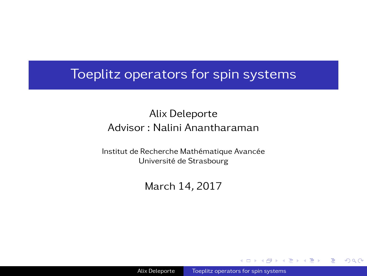# <span id="page-0-0"></span>Toeplitz operators for spin systems

## Alix Deleporte Advisor : Nalini Anantharaman

Institut de Recherche Mathématique Avancée Université de Strasbourg

March 14, 2017

 $\Omega$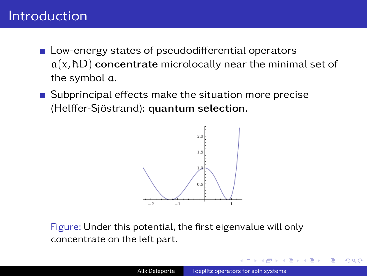# Introduction

- **Low-energy states of pseudodifferential operators**  $a(x, \hbar D)$  concentrate microlocally near the minimal set of the symbol a.
- Subprincipal effects make the situation more precise (Helffer-Sjöstrand): quantum selection.



Figure: Under this potential, the first eigenvalue will only concentrate on the left part.

つくへ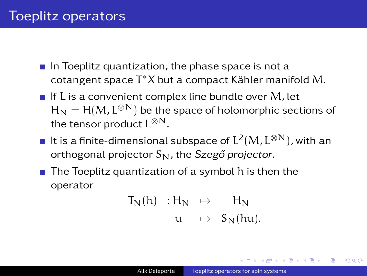- $\blacksquare$  In Toeplitz quantization, the phase space is not a cotangent space T <sup>∗</sup>X but a compact Kähler manifold M.
- If L is a convenient complex line bundle over  $M$ , let  $\boldsymbol{\mathsf{H}}_\textsf{N}=\boldsymbol{\mathsf{H}}(M,\boldsymbol{\mathsf{L}}^{\otimes \textsf{N}})$  be the space of holomorphic sections of the tensor product  $\mathsf{L}^{\otimes \mathsf{N}}.$
- It is a finite-dimensional subspace of  $\mathsf{L}^2(\mathsf{M}, \mathsf{L}^{\otimes \mathsf{N}})$ , with an orthogonal projector  $S_N$ , the Szegő projector.
- $\blacksquare$  The Toeplitz quantization of a symbol h is then the operator

$$
T_N(h) : H_N \rightarrow H_N
$$
  
u  $\rightarrow S_N(hu)$ .

 $209$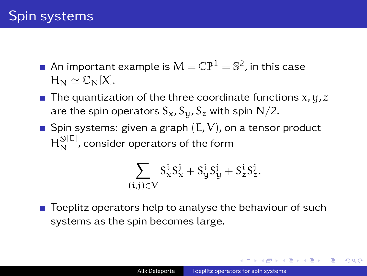- An important example is  $\mathsf{M}=\mathbb{CP}^1=\mathbb{S}^2$ , in this case  $H_N \simeq \mathbb{C}_N[X].$
- The quantization of the three coordinate functions  $x, y, z$ are the spin operators  $S_x$ ,  $S_y$ ,  $S_z$  with spin N/2.
- Spin systems: given a graph  $(E, V)$ , on a tensor product  $\mathsf{H}_{\mathsf{N}}^{\otimes|\mathsf{E}|}$ , consider operators of the form

$$
\sum_{(i,j)\in V}S^i_xS^j_x+S^i_yS^j_y+S^i_zS^j_z.
$$

 $\blacksquare$  Toeplitz operators help to analyse the behaviour of such systems as the spin becomes large.

同 ▶ ( ヨ ▶ ( ヨ ▶ )

 $209$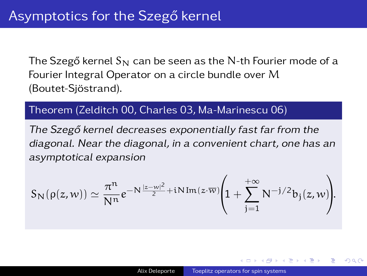The Szegő kernel  $S_N$  can be seen as the N-th Fourier mode of a Fourier Integral Operator on a circle bundle over M (Boutet-Sjöstrand).

### Theorem (Zelditch 00, Charles 03, Ma-Marinescu 06)

The Szegő kernel decreases exponentially fast far from the diagonal. Near the diagonal, in a convenient chart, one has an asymptotical expansion

$$
S_N(\rho(z,w)) \simeq \frac{\pi^n}{N^n} e^{-N\frac{|z-w|^2}{2} + iN\operatorname{Im}(z\cdot\overline{w})} \Bigg(1 + \sum_{j=1}^{+\infty} N^{-j/2} b_j(z,w)\Bigg).
$$

つくへ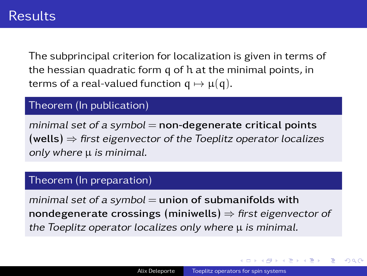The subprincipal criterion for localization is given in terms of the hessian quadratic form q of h at the minimal points, in terms of a real-valued function  $q \mapsto \mu(q)$ .

#### Theorem (In publication)

minimal set of a symbol  $=$  non-degenerate critical points  $(wells) \Rightarrow$  first eigenvector of the Toeplitz operator localizes only where  $\mu$  is minimal.

#### Theorem (In preparation)

minimal set of a symbol  $=$  union of submanifolds with nondegenerate crossings (miniwells)  $\Rightarrow$  first eigenvector of the Toeplitz operator localizes only where  $\mu$  is minimal.

医间面的间面

つくへ